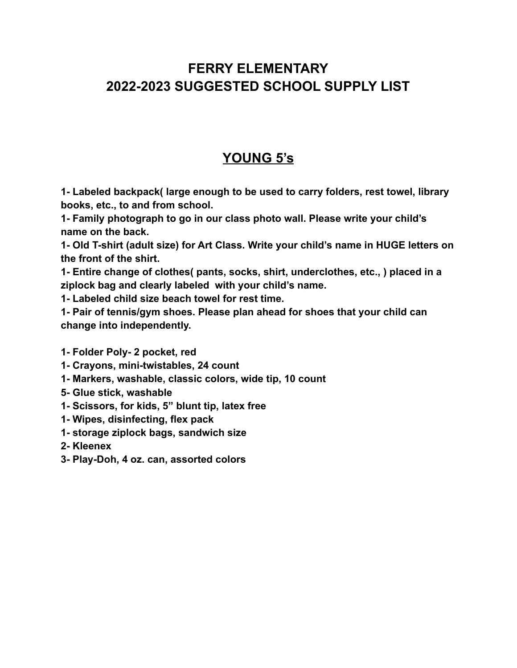# **FERRY ELEMENTARY 2022-2023 SUGGESTED SCHOOL SUPPLY LIST**

# **YOUNG 5's**

**1- Labeled backpack( large enough to be used to carry folders, rest towel, library books, etc., to and from school.**

**1- Family photograph to go in our class photo wall. Please write your child's name on the back.**

**1- Old T-shirt (adult size) for Art Class. Write your child's name in HUGE letters on the front of the shirt.**

**1- Entire change of clothes( pants, socks, shirt, underclothes, etc., ) placed in a ziplock bag and clearly labeled with your child's name.**

**1- Labeled child size beach towel for rest time.**

**1- Pair of tennis/gym shoes. Please plan ahead for shoes that your child can change into independently.**

**1- Folder Poly- 2 pocket, red**

- **1- Crayons, mini-twistables, 24 count**
- **1- Markers, washable, classic colors, wide tip, 10 count**
- **5- Glue stick, washable**
- **1- Scissors, for kids, 5" blunt tip, latex free**
- **1- Wipes, disinfecting, flex pack**
- **1- storage ziplock bags, sandwich size**
- **2- Kleenex**
- **3- Play-Doh, 4 oz. can, assorted colors**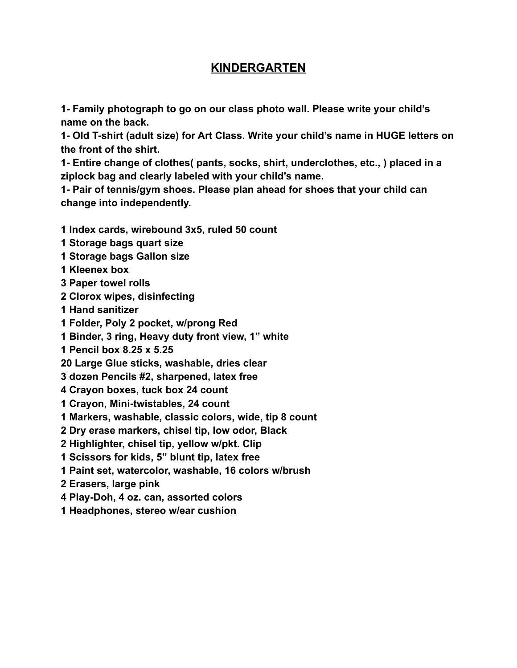## **KINDERGARTEN**

**1- Family photograph to go on our class photo wall. Please write your child's name on the back.**

**1- Old T-shirt (adult size) for Art Class. Write your child's name in HUGE letters on the front of the shirt.**

**1- Entire change of clothes( pants, socks, shirt, underclothes, etc., ) placed in a ziplock bag and clearly labeled with your child's name.**

**1- Pair of tennis/gym shoes. Please plan ahead for shoes that your child can change into independently.**

**1 Index cards, wirebound 3x5, ruled 50 count**

- **1 Storage bags quart size**
- **1 Storage bags Gallon size**
- **1 Kleenex box**
- **3 Paper towel rolls**
- **2 Clorox wipes, disinfecting**
- **1 Hand sanitizer**
- **1 Folder, Poly 2 pocket, w/prong Red**
- **1 Binder, 3 ring, Heavy duty front view, 1" white**

**1 Pencil box 8.25 x 5.25**

**20 Large Glue sticks, washable, dries clear**

- **3 dozen Pencils #2, sharpened, latex free**
- **4 Crayon boxes, tuck box 24 count**
- **1 Crayon, Mini-twistables, 24 count**

**1 Markers, washable, classic colors, wide, tip 8 count**

**2 Dry erase markers, chisel tip, low odor, Black**

- **2 Highlighter, chisel tip, yellow w/pkt. Clip**
- **1 Scissors for kids, 5" blunt tip, latex free**
- **1 Paint set, watercolor, washable, 16 colors w/brush**
- **2 Erasers, large pink**
- **4 Play-Doh, 4 oz. can, assorted colors**
- **1 Headphones, stereo w/ear cushion**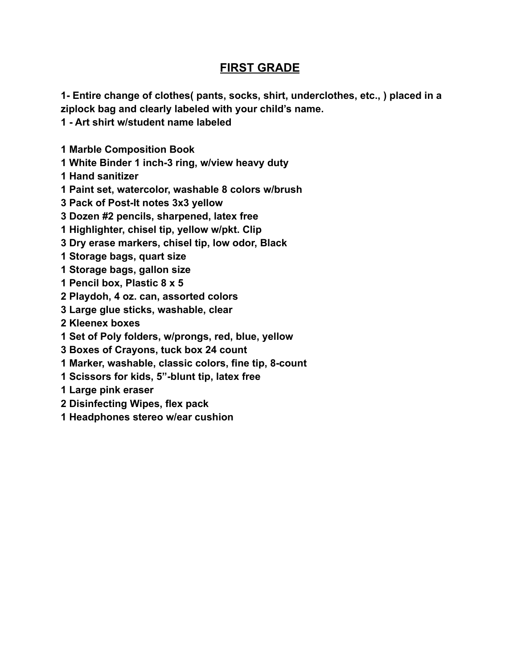## **FIRST GRADE**

**1- Entire change of clothes( pants, socks, shirt, underclothes, etc., ) placed in a ziplock bag and clearly labeled with your child's name.**

**1 - Art shirt w/student name labeled**

**1 Marble Composition Book**

**1 White Binder 1 inch-3 ring, w/view heavy duty**

**1 Hand sanitizer**

**1 Paint set, watercolor, washable 8 colors w/brush**

**3 Pack of Post-It notes 3x3 yellow**

**3 Dozen #2 pencils, sharpened, latex free**

**1 Highlighter, chisel tip, yellow w/pkt. Clip**

**3 Dry erase markers, chisel tip, low odor, Black**

**1 Storage bags, quart size**

**1 Storage bags, gallon size**

**1 Pencil box, Plastic 8 x 5**

**2 Playdoh, 4 oz. can, assorted colors**

**3 Large glue sticks, washable, clear**

**2 Kleenex boxes**

**1 Set of Poly folders, w/prongs, red, blue, yellow**

**3 Boxes of Crayons, tuck box 24 count**

**1 Marker, washable, classic colors, fine tip, 8-count**

**1 Scissors for kids, 5"-blunt tip, latex free**

**1 Large pink eraser**

**2 Disinfecting Wipes, flex pack**

**1 Headphones stereo w/ear cushion**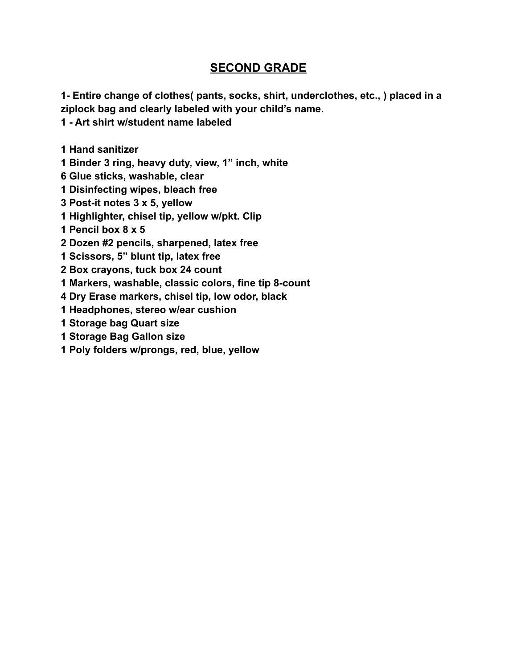## **SECOND GRADE**

**1- Entire change of clothes( pants, socks, shirt, underclothes, etc., ) placed in a ziplock bag and clearly labeled with your child's name.**

**1 - Art shirt w/student name labeled**

**1 Hand sanitizer**

**1 Binder 3 ring, heavy duty, view, 1" inch, white**

**6 Glue sticks, washable, clear**

**1 Disinfecting wipes, bleach free**

**3 Post-it notes 3 x 5, yellow**

**1 Highlighter, chisel tip, yellow w/pkt. Clip**

**1 Pencil box 8 x 5**

**2 Dozen #2 pencils, sharpened, latex free**

**1 Scissors, 5" blunt tip, latex free**

**2 Box crayons, tuck box 24 count**

**1 Markers, washable, classic colors, fine tip 8-count**

**4 Dry Erase markers, chisel tip, low odor, black**

**1 Headphones, stereo w/ear cushion**

**1 Storage bag Quart size**

**1 Storage Bag Gallon size**

**1 Poly folders w/prongs, red, blue, yellow**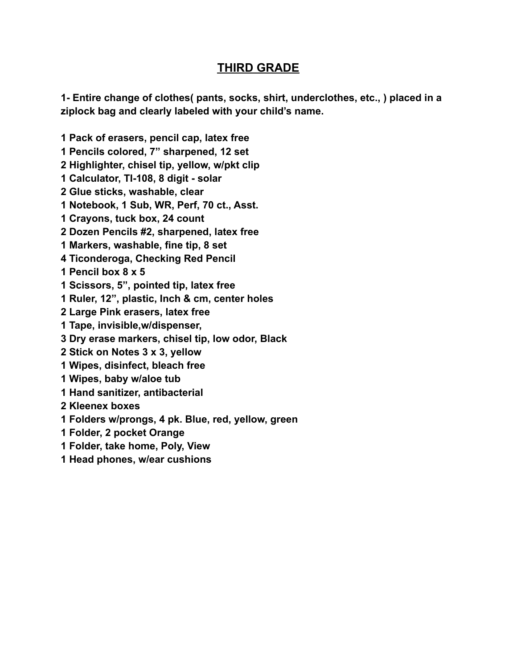## **THIRD GRADE**

**1- Entire change of clothes( pants, socks, shirt, underclothes, etc., ) placed in a ziplock bag and clearly labeled with your child's name.**

**1 Pack of erasers, pencil cap, latex free 1 Pencils colored, 7" sharpened, 12 set 2 Highlighter, chisel tip, yellow, w/pkt clip 1 Calculator, TI-108, 8 digit - solar 2 Glue sticks, washable, clear 1 Notebook, 1 Sub, WR, Perf, 70 ct., Asst. 1 Crayons, tuck box, 24 count 2 Dozen Pencils #2, sharpened, latex free 1 Markers, washable, fine tip, 8 set 4 Ticonderoga, Checking Red Pencil 1 Pencil box 8 x 5 1 Scissors, 5", pointed tip, latex free 1 Ruler, 12", plastic, Inch & cm, center holes 2 Large Pink erasers, latex free 1 Tape, invisible,w/dispenser, 3 Dry erase markers, chisel tip, low odor, Black 2 Stick on Notes 3 x 3, yellow 1 Wipes, disinfect, bleach free 1 Wipes, baby w/aloe tub 1 Hand sanitizer, antibacterial 2 Kleenex boxes 1 Folders w/prongs, 4 pk. Blue, red, yellow, green 1 Folder, 2 pocket Orange 1 Folder, take home, Poly, View 1 Head phones, w/ear cushions**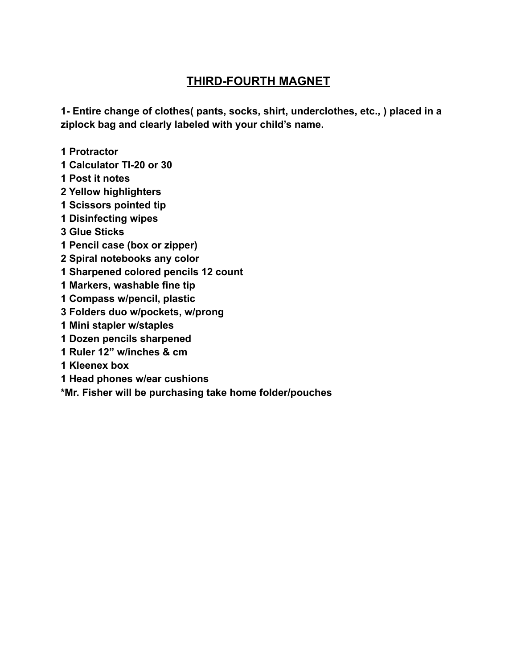## **THIRD-FOURTH MAGNET**

**1- Entire change of clothes( pants, socks, shirt, underclothes, etc., ) placed in a ziplock bag and clearly labeled with your child's name.**

**1 Protractor**

- **1 Calculator TI-20 or 30**
- **1 Post it notes**
- **2 Yellow highlighters**
- **1 Scissors pointed tip**
- **1 Disinfecting wipes**
- **3 Glue Sticks**
- **1 Pencil case (box or zipper)**
- **2 Spiral notebooks any color**
- **1 Sharpened colored pencils 12 count**
- **1 Markers, washable fine tip**
- **1 Compass w/pencil, plastic**
- **3 Folders duo w/pockets, w/prong**
- **1 Mini stapler w/staples**
- **1 Dozen pencils sharpened**
- **1 Ruler 12" w/inches & cm**
- **1 Kleenex box**
- **1 Head phones w/ear cushions**

**\*Mr. Fisher will be purchasing take home folder/pouches**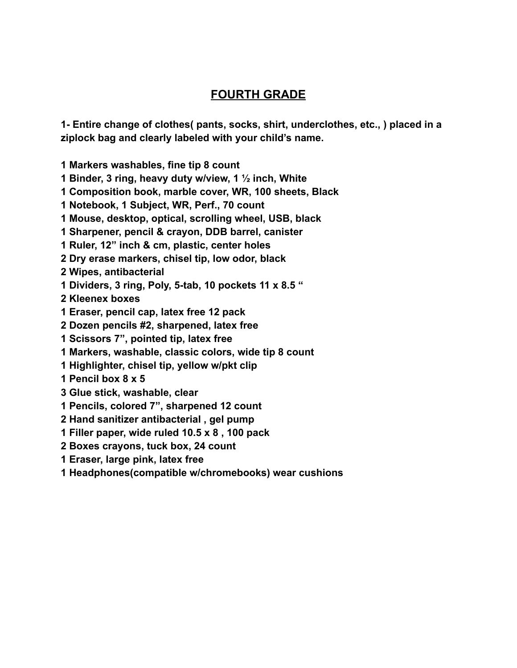## **FOURTH GRADE**

**1- Entire change of clothes( pants, socks, shirt, underclothes, etc., ) placed in a ziplock bag and clearly labeled with your child's name.**

**1 Markers washables, fine tip 8 count**

**1 Binder, 3 ring, heavy duty w/view, 1 ½ inch, White**

**1 Composition book, marble cover, WR, 100 sheets, Black**

**1 Notebook, 1 Subject, WR, Perf., 70 count**

**1 Mouse, desktop, optical, scrolling wheel, USB, black**

**1 Sharpener, pencil & crayon, DDB barrel, canister**

**1 Ruler, 12" inch & cm, plastic, center holes**

**2 Dry erase markers, chisel tip, low odor, black**

**2 Wipes, antibacterial**

**1 Dividers, 3 ring, Poly, 5-tab, 10 pockets 11 x 8.5 "**

**2 Kleenex boxes**

**1 Eraser, pencil cap, latex free 12 pack**

**2 Dozen pencils #2, sharpened, latex free**

**1 Scissors 7", pointed tip, latex free**

**1 Markers, washable, classic colors, wide tip 8 count**

**1 Highlighter, chisel tip, yellow w/pkt clip**

**1 Pencil box 8 x 5**

**3 Glue stick, washable, clear**

**1 Pencils, colored 7", sharpened 12 count**

**2 Hand sanitizer antibacterial , gel pump**

**1 Filler paper, wide ruled 10.5 x 8 , 100 pack**

**2 Boxes crayons, tuck box, 24 count**

**1 Eraser, large pink, latex free**

**1 Headphones(compatible w/chromebooks) wear cushions**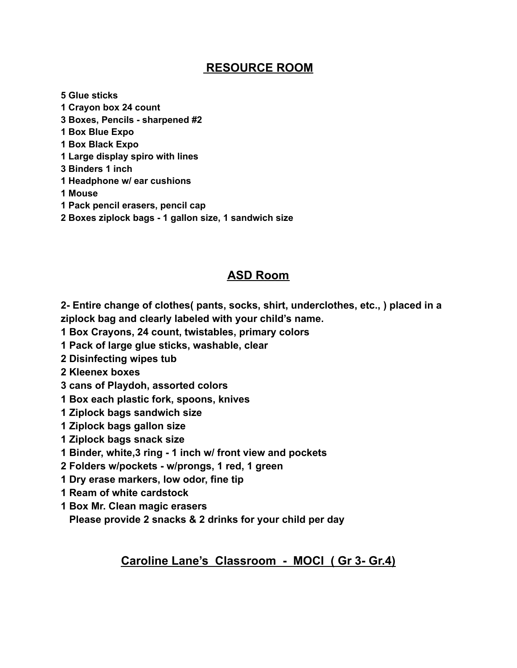## **RESOURCE ROOM**

 **Glue sticks Crayon box 24 count Boxes, Pencils - sharpened #2 Box Blue Expo Box Black Expo Large display spiro with lines Binders 1 inch Headphone w/ ear cushions 1 Mouse Pack pencil erasers, pencil cap Boxes ziplock bags - 1 gallon size, 1 sandwich size**

## **ASD Room**

**2- Entire change of clothes( pants, socks, shirt, underclothes, etc., ) placed in a ziplock bag and clearly labeled with your child's name.**

**1 Box Crayons, 24 count, twistables, primary colors**

**1 Pack of large glue sticks, washable, clear**

**2 Disinfecting wipes tub**

**2 Kleenex boxes**

- **3 cans of Playdoh, assorted colors**
- **1 Box each plastic fork, spoons, knives**
- **1 Ziplock bags sandwich size**
- **1 Ziplock bags gallon size**
- **1 Ziplock bags snack size**
- **1 Binder, white,3 ring 1 inch w/ front view and pockets**
- **2 Folders w/pockets w/prongs, 1 red, 1 green**
- **1 Dry erase markers, low odor, fine tip**
- **1 Ream of white cardstock**
- **1 Box Mr. Clean magic erasers**

**Please provide 2 snacks & 2 drinks for your child per day**

#### **Caroline Lane's Classroom - MOCI ( Gr 3- Gr.4)**